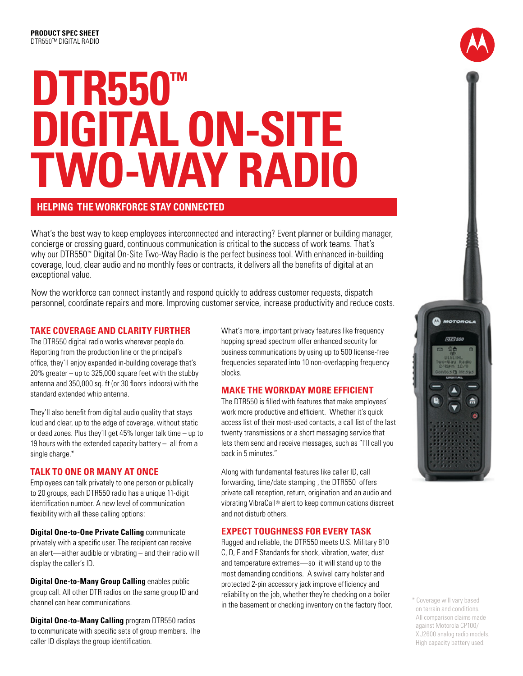# **DTR550™ DIGITAL ON-SITE TWO-WAY RADIo**

## **Helping The Workforce Stay Connected**

What's the best way to keep employees interconnected and interacting? Event planner or building manager, concierge or crossing guard, continuous communication is critical to the success of work teams. That's why our DTR550™ Digital On-Site Two-Way Radio is the perfect business tool. With enhanced in-building coverage, loud, clear audio and no monthly fees or contracts, it delivers all the benefits of digital at an exceptional value.

Now the workforce can connect instantly and respond quickly to address customer requests, dispatch personnel, coordinate repairs and more. Improving customer service, increase productivity and reduce costs.

### **TAKE COVERAGE AND CLARITY FURTHER**

The DTR550 digital radio works wherever people do. Reporting from the production line or the principal's office, they'll enjoy expanded in-building coverage that's 20% greater – up to 325,000 square feet with the stubby antenna and 350,000 sq. ft (or 30 floors indoors) with the standard extended whip antenna.

They'll also benefit from digital audio quality that stays loud and clear, up to the edge of coverage, without static or dead zones. Plus they'll get 45% longer talk time – up to 19 hours with the extended capacity battery – all from a single charge.\*

### **TALK TO ONE OR MANY AT ONCE**

Employees can talk privately to one person or publically to 20 groups, each DTR550 radio has a unique 11-digit identification number. A new level of communication flexibility with all these calling options:

**Digital One-to-One Private Calling** communicate privately with a specific user. The recipient can receive an alert—either audible or vibrating – and their radio will display the caller's ID.

**Digital One-to-Many Group Calling** enables public group call. All other DTR radios on the same group ID and channel can hear communications.

**Digital One-to-Many Calling** program DTR550 radios to communicate with specific sets of group members. The caller ID displays the group identification.

What's more, important privacy features like frequency hopping spread spectrum offer enhanced security for business communications by using up to 500 license-free frequencies separated into 10 non-overlapping frequency blocks.

### **MAKE THE WORKDAY MORE EFFICIENT**

The DTR550 is filled with features that make employees' work more productive and efficient. Whether it's quick access list of their most-used contacts, a call list of the last twenty transmissions or a short messaging service that lets them send and receive messages, such as "I'll call you back in 5 minutes."

Along with fundamental features like caller ID, call forwarding, time/date stamping , the DTR550 offers private call reception, return, origination and an audio and vibrating VibraCall® alert to keep communications discreet and not disturb others.

### **EXPECT TOUGHNESS FOR EVERY TASK**

Rugged and reliable, the DTR550 meets U.S. Military 810 C, D, E and F Standards for shock, vibration, water, dust and temperature extremes—so it will stand up to the most demanding conditions. A swivel carry holster and protected 2-pin accessory jack improve efficiency and reliability on the job, whether they're checking on a boiler in the basement or checking inventory on the factory floor.<br>
A Coverage will vary based<br>
in the basement or checking inventory on the factory floor.



on terrain and conditions. All comparison claims made against Motorola CP100/ XU2600 analog radio models. High capacity battery used.